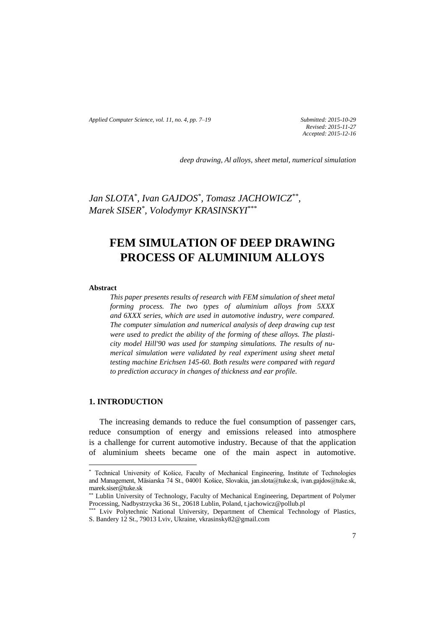*Applied Computer Science, vol. 11, no. 4, pp. 7–19 Submitted: 2015-10-29*

*Revised: 2015-11-27 Accepted: 2015-12-16*

*deep drawing, Al alloys, sheet metal, numerical simulation*

*Jan SLOTA\* , Ivan GAJDOS\* , Tomasz JACHOWICZ\*\* , Marek SISER\* , Volodymyr KRASINSKYI* \*\*\*

# **FEM SIMULATION OF DEEP DRAWING PROCESS OF ALUMINIUM ALLOYS**

#### **Abstract**

 $\overline{\phantom{a}}$ 

*This paper presents results of research with FEM simulation of sheet metal forming process. The two types of aluminium alloys from 5XXX and 6XXX series, which are used in automotive industry, were compared. The computer simulation and numerical analysis of deep drawing cup test were used to predict the ability of the forming of these alloys. The plasticity model Hill'90 was used for stamping simulations. The results of numerical simulation were validated by real experiment using sheet metal testing machine Erichsen 145-60. Both results were compared with regard to prediction accuracy in changes of thickness and ear profile.*

# **1. INTRODUCTION**

The increasing demands to reduce the fuel consumption of passenger cars, reduce consumption of energy and emissions released into atmosphere is a challenge for current automotive industry. Because of that the application of aluminium sheets became one of the main aspect in automotive.

<sup>\*</sup> Technical University of Košice, Faculty of Mechanical Engineering, Institute of Technologies and Management, Mäsiarska 74 St., 04001 Košice, Slovakia, jan.slota@tuke.sk, ivan.gajdos@tuke.sk, marek.siser@tuke.sk

<sup>\*\*</sup> Lublin University of Technology, Faculty of Mechanical Engineering, Department of Polymer Processing, Nadbystrzycka 36 St., 20618 Lublin, Poland, t.jachowicz@pollub.pl

Lviv Polytechnic National University, Department of Chemical Technology of Plastics, S. Bandery 12 St., 79013 Lviv, Ukraine, vkrasinsky82@gmail.com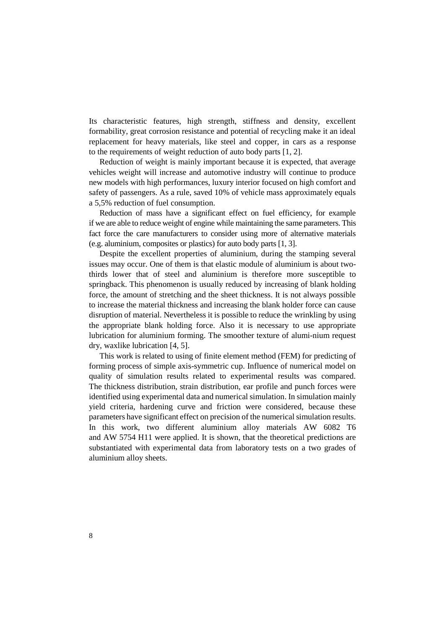Its characteristic features, high strength, stiffness and density, excellent formability, great corrosion resistance and potential of recycling make it an ideal replacement for heavy materials, like steel and copper, in cars as a response to the requirements of weight reduction of auto body parts [1, 2].

Reduction of weight is mainly important because it is expected, that average vehicles weight will increase and automotive industry will continue to produce new models with high performances, luxury interior focused on high comfort and safety of passengers. As a rule, saved 10% of vehicle mass approximately equals a 5,5% reduction of fuel consumption.

Reduction of mass have a significant effect on fuel efficiency, for example if we are able to reduce weight of engine while maintaining the same parameters. This fact force the care manufacturers to consider using more of alternative materials (e.g. aluminium, composites or plastics) for auto body parts [1, 3].

Despite the excellent properties of aluminium, during the stamping several issues may occur. One of them is that elastic module of aluminium is about twothirds lower that of steel and aluminium is therefore more susceptible to springback. This phenomenon is usually reduced by increasing of blank holding force, the amount of stretching and the sheet thickness. It is not always possible to increase the material thickness and increasing the blank holder force can cause disruption of material. Nevertheless it is possible to reduce the wrinkling by using the appropriate blank holding force. Also it is necessary to use appropriate lubrication for aluminium forming. The smoother texture of alumi-nium request dry, waxlike lubrication [4, 5].

This work is related to using of finite element method (FEM) for predicting of forming process of simple axis-symmetric cup. Influence of numerical model on quality of simulation results related to experimental results was compared. The thickness distribution, strain distribution, ear profile and punch forces were identified using experimental data and numerical simulation. In simulation mainly yield criteria, hardening curve and friction were considered, because these parameters have significant effect on precision of the numerical simulation results. In this work, two different aluminium alloy materials AW 6082 T6 and AW 5754 H11 were applied. It is shown, that the theoretical predictions are substantiated with experimental data from laboratory tests on a two grades of aluminium alloy sheets.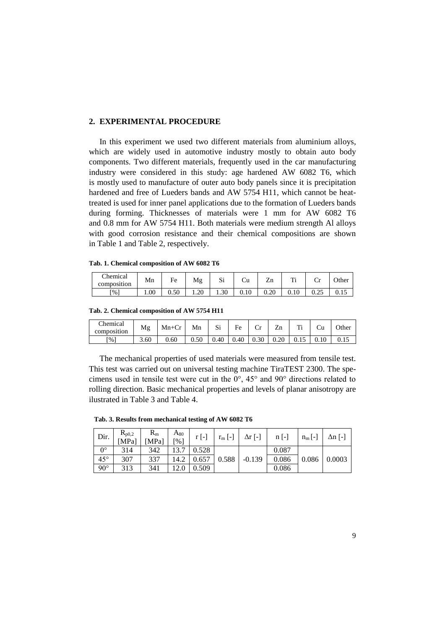## **2. EXPERIMENTAL PROCEDURE**

In this experiment we used two different materials from aluminium alloys, which are widely used in automotive industry mostly to obtain auto body components. Two different materials, frequently used in the car manufacturing industry were considered in this study: age hardened AW 6082 T6, which is mostly used to manufacture of outer auto body panels since it is precipitation hardened and free of Lueders bands and AW 5754 H11, which cannot be heattreated is used for inner panel applications due to the formation of Lueders bands during forming. Thicknesses of materials were 1 mm for AW 6082 T6 and 0.8 mm for AW 5754 H11. Both materials were medium strength Al alloys with good corrosion resistance and their chemical compositions are shown in Table 1 and Table 2, respectively.

|  |  | Tab. 1. Chemical composition of AW 6082 T6 |  |  |  |  |
|--|--|--------------------------------------------|--|--|--|--|
|--|--|--------------------------------------------|--|--|--|--|

| <b>Themical</b><br>composition | Mn   | −<br>Fe            | Mg   | $\sim$<br>ມ⊥ | Ċu       | -<br>Zn  | m<br>  | $\tilde{}$     | Other       |
|--------------------------------|------|--------------------|------|--------------|----------|----------|--------|----------------|-------------|
| $\lceil \% \rceil$             | 1.00 | $\epsilon$<br>บ.วบ | 1.20 | 1.30         | $0.10\,$ | $0.20\,$ | v. I v | $\sim$<br>∪.∠J | <u>v.ij</u> |

**Tab. 2. Chemical composition of AW 5754 H11**

| Chemical<br>composition | Mg   | $Mn+Cr$ | Mn   | n.<br>لات | Fe   | ◡                           | ᅲ<br>Zn  | m<br>. . | Ψu | $\Omega$ ther |
|-------------------------|------|---------|------|-----------|------|-----------------------------|----------|----------|----|---------------|
| $\lceil \% \rceil$      | 3.60 | 0.60    | 0.50 | 0.40      | 0.40 | $20^{\circ}$<br><b>0.30</b> | $0.20\,$ | U.IJ     |    | U. I J        |

The mechanical properties of used materials were measured from tensile test. This test was carried out on universal testing machine TiraTEST 2300. The specimens used in tensile test were cut in the 0°, 45° and 90° directions related to rolling direction. Basic mechanical properties and levels of planar anisotropy are ilustrated in Table 3 and Table 4.

 **Tab. 3. Results from mechanical testing of AW 6082 T6**

| Dir.         | $R_{p0,2}$<br>[MPa] | $R_{m}$<br>[MPa] | $A_{80}$<br>[%] | $r$ [-] | $r_m$ [-] | $\Delta r$ [-] | $n$ [-] | $n_m$ [-] | $\Delta n$ [-] |
|--------------|---------------------|------------------|-----------------|---------|-----------|----------------|---------|-----------|----------------|
| $0^{\circ}$  | 314                 | 342              | 137             | 0.528   |           |                | 0.087   |           |                |
| $45^{\circ}$ | 307                 | 337              | 14.2            | 0.657   | 0.588     | $-0.139$       | 0.086   | 0.086     | 0.0003         |
| $90^{\circ}$ | 313                 | 341              | 12.0            | 0.509   |           |                | 0.086   |           |                |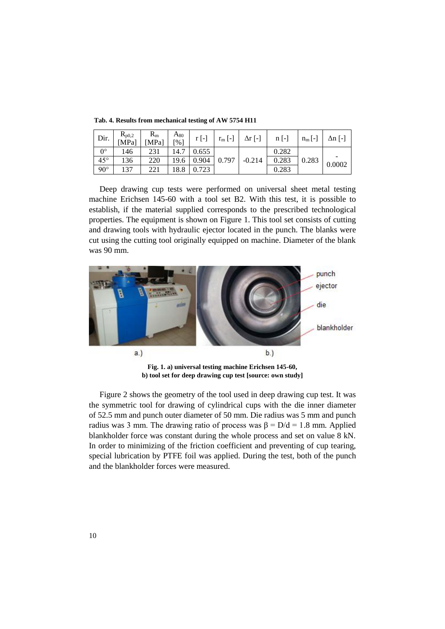| Dir.         | $R_{p0,2}$<br>[MPa] | $R_{m}$<br>[MPa] | $A_{80}$<br>[%] | $r$ [-] | $r_m$ [-] | $\Delta r$ [-] | $n$ [-] | $n_m$ [-] | $\Delta n$ [-] |
|--------------|---------------------|------------------|-----------------|---------|-----------|----------------|---------|-----------|----------------|
| $0^{\circ}$  | 146                 | 231              | 14.             | 0.655   |           |                | 0.282   |           |                |
| $45^{\circ}$ | 136                 | 220              | 19.6            | 0.904   | 0.797     | $-0.214$       | 0.283   | 0.283     | 0.0002         |
| $90^{\circ}$ | 137                 | 221              | 18.8            | 0.723   |           |                | 0.283   |           |                |

 **Tab. 4. Results from mechanical testing of AW 5754 H11**

Deep drawing cup tests were performed on universal sheet metal testing machine Erichsen 145-60 with a tool set B2. With this test, it is possible to establish, if the material supplied corresponds to the prescribed technological properties. The equipment is shown on Figure 1. This tool set consists of cutting and drawing tools with hydraulic ejector located in the punch. The blanks were cut using the cutting tool originally equipped on machine. Diameter of the blank was 90 mm.



**Fig. 1. a) universal testing machine Erichsen 145-60, b) tool set for deep drawing cup test [source: own study]**

Figure 2 shows the geometry of the tool used in deep drawing cup test. It was the symmetric tool for drawing of cylindrical cups with the die inner diameter of 52.5 mm and punch outer diameter of 50 mm. Die radius was 5 mm and punch radius was 3 mm. The drawing ratio of process was  $β = D/d = 1.8$  mm. Applied blankholder force was constant during the whole process and set on value 8 kN. In order to minimizing of the friction coefficient and preventing of cup tearing, special lubrication by PTFE foil was applied. During the test, both of the punch and the blankholder forces were measured.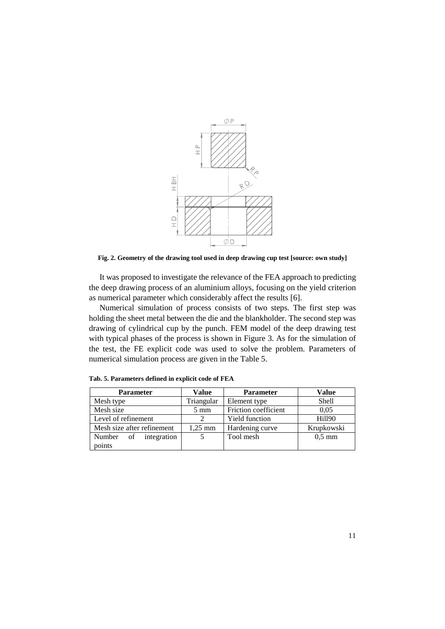

**Fig. 2. Geometry of the drawing tool used in deep drawing cup test [source: own study]**

It was proposed to investigate the relevance of the FEA approach to predicting the deep drawing process of an aluminium alloys, focusing on the yield criterion as numerical parameter which considerably affect the results [6].

Numerical simulation of process consists of two steps. The first step was holding the sheet metal between the die and the blankholder. The second step was drawing of cylindrical cup by the punch. FEM model of the deep drawing test with typical phases of the process is shown in Figure 3. As for the simulation of the test, the FE explicit code was used to solve the problem. Parameters of numerical simulation process are given in the Table 5.

| <b>Parameter</b>           | Value             | <b>Parameter</b>      | Value            |  |  |
|----------------------------|-------------------|-----------------------|------------------|--|--|
| Mesh type                  | Triangular        | Element type          | <b>Shell</b>     |  |  |
| Mesh size                  | $5 \text{ mm}$    | Friction coefficient  | 0.05             |  |  |
| Level of refinement        |                   | <b>Yield function</b> | <b>Hill90</b>    |  |  |
| Mesh size after refinement | $1,25 \text{ mm}$ | Hardening curve       | Krupkowski       |  |  |
| Number of integration      |                   | Tool mesh             | $0.5 \text{ mm}$ |  |  |
| points                     |                   |                       |                  |  |  |

**Tab. 5. Parameters defined in explicit code of FEA**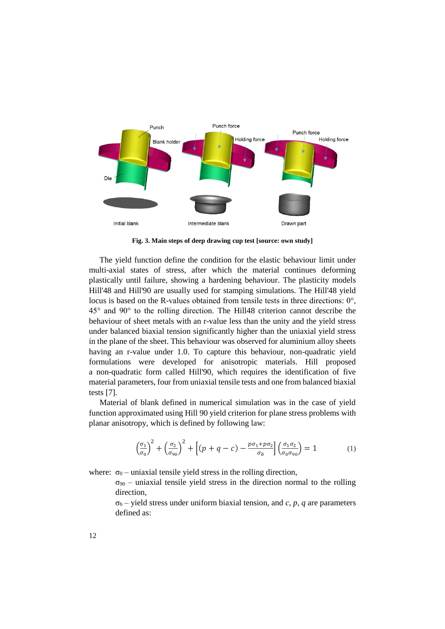

**Fig. 3. Main steps of deep drawing cup test [source: own study]**

The yield function define the condition for the elastic behaviour limit under multi-axial states of stress, after which the material continues deforming plastically until failure, showing a hardening behaviour. The plasticity models Hill'48 and Hill'90 are usually used for stamping simulations. The Hill'48 yield locus is based on the R-values obtained from tensile tests in three directions: 0°, 45° and 90° to the rolling direction. The Hill48 criterion cannot describe the behaviour of sheet metals with an r-value less than the unity and the yield stress under balanced biaxial tension significantly higher than the uniaxial yield stress in the plane of the sheet. This behaviour was observed for aluminium alloy sheets having an r-value under 1.0. To capture this behaviour, non-quadratic yield formulations were developed for anisotropic materials. Hill proposed a non-quadratic form called Hill'90, which requires the identification of five material parameters, four from uniaxial tensile tests and one from balanced biaxial tests [7].

Material of blank defined in numerical simulation was in the case of yield function approximated using Hill 90 yield criterion for plane stress problems with planar anisotropy, which is defined by following law:

$$
\left(\frac{\sigma_1}{\sigma_0}\right)^2 + \left(\frac{\sigma_2}{\sigma_{90}}\right)^2 + \left[ (p+q-c) - \frac{p\sigma_1 + p\sigma_2}{\sigma_b} \right] \left(\frac{\sigma_1 \sigma_2}{\sigma_0 \sigma_{90}}\right) = 1 \tag{1}
$$

where:  $\sigma_0$  – uniaxial tensile yield stress in the rolling direction,

 $\sigma_{90}$  – uniaxial tensile yield stress in the direction normal to the rolling direction,

 $\sigma_b$  – yield stress under uniform biaxial tension, and *c*, *p*, *q* are parameters defined as: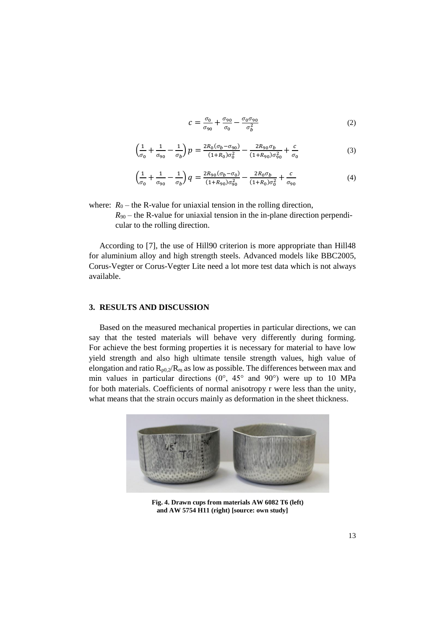$$
c = \frac{\sigma_0}{\sigma_{90}} + \frac{\sigma_{90}}{\sigma_0} - \frac{\sigma_0 \sigma_{90}}{\sigma_b^2}
$$
 (2)

$$
\left(\frac{1}{\sigma_0} + \frac{1}{\sigma_{90}} - \frac{1}{\sigma_b}\right)p = \frac{2R_0(\sigma_b - \sigma_{90})}{(1 + R_0)\sigma_0^2} - \frac{2R_{90}\sigma_b}{(1 + R_{90})\sigma_{90}^2} + \frac{c}{\sigma_0}
$$
\n(3)

$$
\left(\frac{1}{\sigma_0} + \frac{1}{\sigma_{90}} - \frac{1}{\sigma_b}\right)q = \frac{2R_{90}(\sigma_b - \sigma_0)}{(1 + R_{90})\sigma_{90}^2} - \frac{2R_0\sigma_b}{(1 + R_0)\sigma_0^2} + \frac{c}{\sigma_{90}}
$$
(4)

where:  $R_0$  – the R-value for uniaxial tension in the rolling direction,

 $R_{90}$  – the R-value for uniaxial tension in the in-plane direction perpendicular to the rolling direction.

According to [7], the use of Hill90 criterion is more appropriate than Hill48 for aluminium alloy and high strength steels. Advanced models like BBC2005, Corus-Vegter or Corus-Vegter Lite need a lot more test data which is not always available.

# **3. RESULTS AND DISCUSSION**

Based on the measured mechanical properties in particular directions, we can say that the tested materials will behave very differently during forming. For achieve the best forming properties it is necessary for material to have low yield strength and also high ultimate tensile strength values, high value of elongation and ratio  $R_{p0,2}/R_m$  as low as possible. The differences between max and min values in particular directions  $(0^{\circ}, 45^{\circ})$  and  $(90^{\circ})$  were up to 10 MPa for both materials. Coefficients of normal anisotropy r were less than the unity, what means that the strain occurs mainly as deformation in the sheet thickness.



**Fig. 4. Drawn cups from materials AW 6082 T6 (left) and AW 5754 H11 (right) [source: own study]**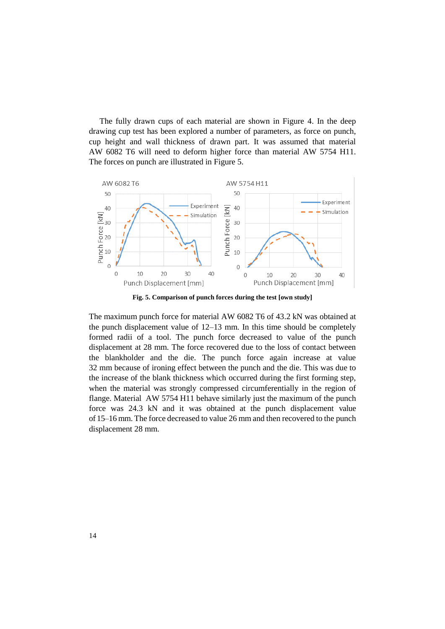The fully drawn cups of each material are shown in Figure 4. In the deep drawing cup test has been explored a number of parameters, as force on punch, cup height and wall thickness of drawn part. It was assumed that material AW 6082 T6 will need to deform higher force than material AW 5754 H11. The forces on punch are illustrated in Figure 5.



**Fig. 5. Comparison of punch forces during the test [own study]**

The maximum punch force for material AW 6082 T6 of 43.2 kN was obtained at the punch displacement value of 12–13 mm. In this time should be completely formed radii of a tool. The punch force decreased to value of the punch displacement at 28 mm. The force recovered due to the loss of contact between the blankholder and the die. The punch force again increase at value 32 mm because of ironing effect between the punch and the die. This was due to the increase of the blank thickness which occurred during the first forming step, when the material was strongly compressed circumferentially in the region of flange. Material AW 5754 H11 behave similarly just the maximum of the punch force was 24.3 kN and it was obtained at the punch displacement value of 15–16 mm. The force decreased to value 26 mm and then recovered to the punch displacement 28 mm.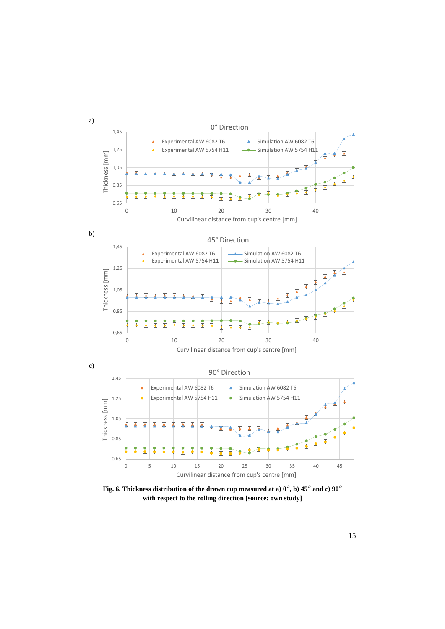

Fig. 6. Thickness distribution of the drawn cup measured at a)  $0^{\circ}$ , b) 45<sup>°</sup> and c)  $90^{\circ}$ **with respect to the rolling direction [source: own study]**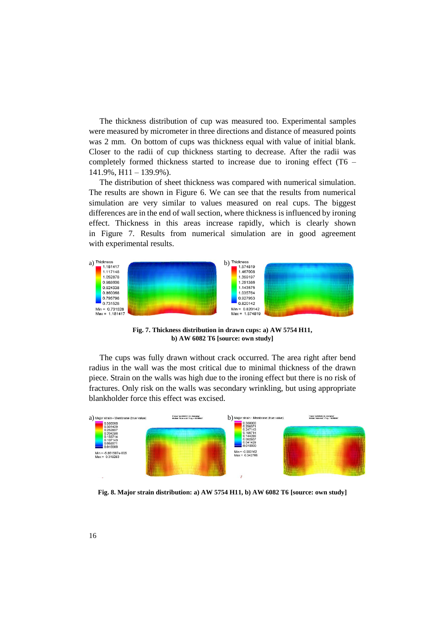The thickness distribution of cup was measured too. Experimental samples were measured by micrometer in three directions and distance of measured points was 2 mm. On bottom of cups was thickness equal with value of initial blank. Closer to the radii of cup thickness starting to decrease. After the radii was completely formed thickness started to increase due to ironing effect (T6 – 141.9%, H11 – 139.9%).

The distribution of sheet thickness was compared with numerical simulation. The results are shown in Figure 6. We can see that the results from numerical simulation are very similar to values measured on real cups. The biggest differences are in the end of wall section, where thickness is influenced by ironing effect. Thickness in this areas increase rapidly, which is clearly shown in Figure 7. Results from numerical simulation are in good agreement with experimental results.



**Fig. 7. Thickness distribution in drawn cups: a) AW 5754 H11, b) AW 6082 T6 [source: own study]**

The cups was fully drawn without crack occurred. The area right after bend radius in the wall was the most critical due to minimal thickness of the drawn piece. Strain on the walls was high due to the ironing effect but there is no risk of fractures. Only risk on the walls was secondary wrinkling, but using appropriate blankholder force this effect was excised.



**Fig. 8. Major strain distribution: a) AW 5754 H11, b) AW 6082 T6 [source: own study]**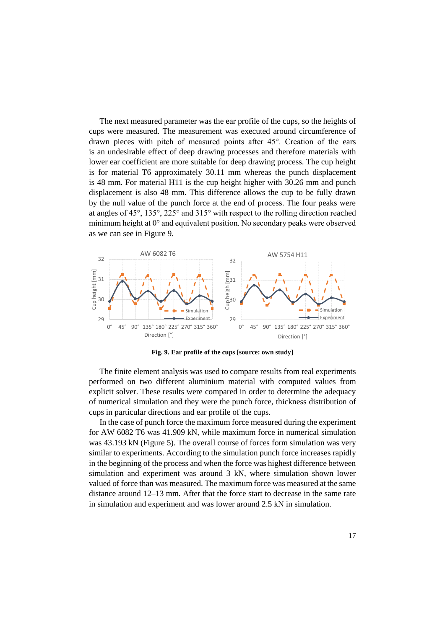The next measured parameter was the ear profile of the cups, so the heights of cups were measured. The measurement was executed around circumference of drawn pieces with pitch of measured points after 45°. Creation of the ears is an undesirable effect of deep drawing processes and therefore materials with lower ear coefficient are more suitable for deep drawing process. The cup height is for material T6 approximately 30.11 mm whereas the punch displacement is 48 mm. For material H11 is the cup height higher with 30.26 mm and punch displacement is also 48 mm. This difference allows the cup to be fully drawn by the null value of the punch force at the end of process. The four peaks were at angles of 45°, 135°, 225° and 315° with respect to the rolling direction reached minimum height at 0° and equivalent position. No secondary peaks were observed as we can see in Figure 9.



**Fig. 9. Ear profile of the cups [source: own study]**

The finite element analysis was used to compare results from real experiments performed on two different aluminium material with computed values from explicit solver. These results were compared in order to determine the adequacy of numerical simulation and they were the punch force, thickness distribution of cups in particular directions and ear profile of the cups.

In the case of punch force the maximum force measured during the experiment for AW 6082 T6 was 41.909 kN, while maximum force in numerical simulation was 43.193 kN (Figure 5). The overall course of forces form simulation was very similar to experiments. According to the simulation punch force increases rapidly in the beginning of the process and when the force was highest difference between simulation and experiment was around 3 kN, where simulation shown lower valued of force than was measured. The maximum force was measured at the same distance around 12–13 mm. After that the force start to decrease in the same rate in simulation and experiment and was lower around 2.5 kN in simulation.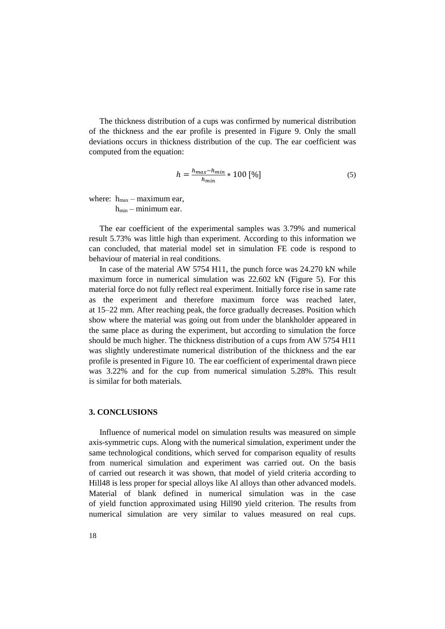The thickness distribution of a cups was confirmed by numerical distribution of the thickness and the ear profile is presented in Figure 9. Only the small deviations occurs in thickness distribution of the cup. The ear coefficient was computed from the equation:

$$
h = \frac{h_{max} - h_{min}}{h_{min}} * 100 \, [\%]
$$
\n<sup>(5)</sup>

where:  $h_{\text{max}}$  – maximum ear,  $h_{min}$  – minimum ear.

The ear coefficient of the experimental samples was 3.79% and numerical result 5.73% was little high than experiment. According to this information we can concluded, that material model set in simulation FE code is respond to behaviour of material in real conditions.

In case of the material AW 5754 H11, the punch force was 24.270 kN while maximum force in numerical simulation was 22.602 kN (Figure 5). For this material force do not fully reflect real experiment. Initially force rise in same rate as the experiment and therefore maximum force was reached later, at 15–22 mm. After reaching peak, the force gradually decreases. Position which show where the material was going out from under the blankholder appeared in the same place as during the experiment, but according to simulation the force should be much higher. The thickness distribution of a cups from AW 5754 H11 was slightly underestimate numerical distribution of the thickness and the ear profile is presented in Figure 10. The ear coefficient of experimental drawn piece was 3.22% and for the cup from numerical simulation 5.28%. This result is similar for both materials.

## **3. CONCLUSIONS**

Influence of numerical model on simulation results was measured on simple axis-symmetric cups. Along with the numerical simulation, experiment under the same technological conditions, which served for comparison equality of results from numerical simulation and experiment was carried out. On the basis of carried out research it was shown, that model of yield criteria according to Hill48 is less proper for special alloys like Al alloys than other advanced models. Material of blank defined in numerical simulation was in the case of yield function approximated using Hill90 yield criterion. The results from numerical simulation are very similar to values measured on real cups.